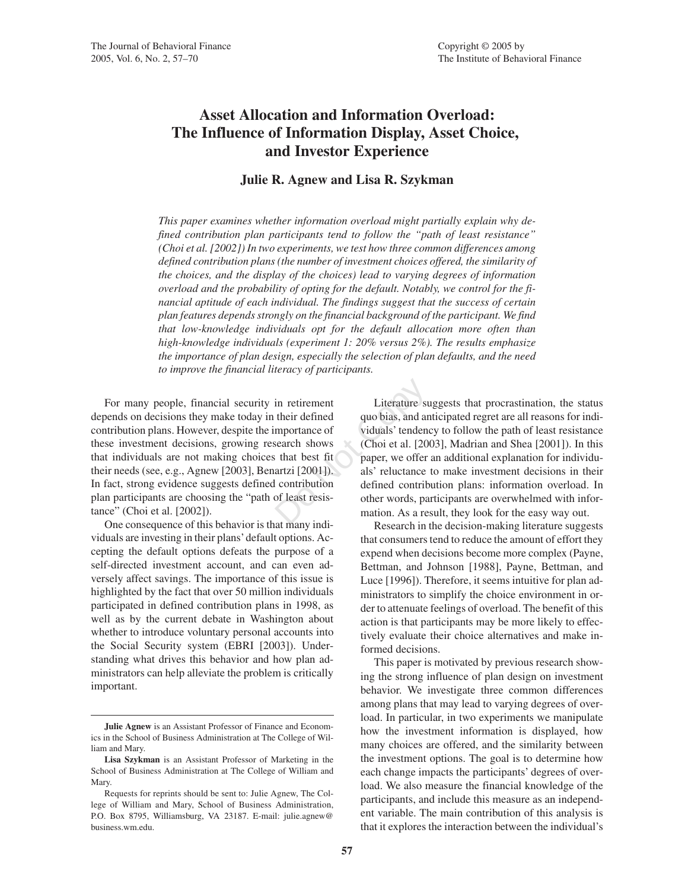# **Asset Allocation and Information Overload: The Influence of Information Display, Asset Choice, and Investor Experience**

**Julie R. Agnew and Lisa R. Szykman**

*This paper examines whether information overload might partially explain why defined contribution plan participants tend to follow the "path of least resistance" (Choi et al. [2002]) In two experiments, we test how three common differences among defined contribution plans (the number of investment choices offered, the similarity of the choices, and the display of the choices) lead to varying degrees of information overload and the probability of opting for the default. Notably, we control for the financial aptitude of each individual. The findings suggest that the success of certain plan features depends strongly on the financial background of the participant. We find that low-knowledge individuals opt for the default allocation more often than high-knowledge individuals (experiment 1: 20% versus 2%). The results emphasize the importance of plan design, especially the selection of plan defaults, and the need to improve the financial literacy of participants.*

For many people, financial security in retirement depends on decisions they make today in their defined contribution plans. However, despite the importance of these investment decisions, growing research shows that individuals are not making choices that best fit their needs (see, e.g., Agnew [2003], Benartzi [2001]). In fact, strong evidence suggests defined contribution plan participants are choosing the "path of least resistance" (Choi et al. [2002]).

One consequence of this behavior is that many individuals are investing in their plans'default options. Accepting the default options defeats the purpose of a self-directed investment account, and can even adversely affect savings. The importance of this issue is highlighted by the fact that over 50 million individuals participated in defined contribution plans in 1998, as well as by the current debate in Washington about whether to introduce voluntary personal accounts into the Social Security system (EBRI [2003]). Understanding what drives this behavior and how plan administrators can help alleviate the problem is critically important.

Literature suggests that procrastination, the status quo bias, and anticipated regret are all reasons for individuals' tendency to follow the path of least resistance (Choi et al. [2003], Madrian and Shea [2001]). In this paper, we offer an additional explanation for individuals' reluctance to make investment decisions in their defined contribution plans: information overload. In other words, participants are overwhelmed with information. As a result, they look for the easy way out. in retirement<br>
their defined<br>
mportance of<br>
earch shows<br>
that best fit<br>
that best fit<br>
paper, we offer<br>
artzi [2001]).<br>
l contribution<br>
of least resis-<br>
of least resis-<br>
content of the words, pa<br>
mation. As a rest<br>
content

Research in the decision-making literature suggests that consumers tend to reduce the amount of effort they expend when decisions become more complex (Payne, Bettman, and Johnson [1988], Payne, Bettman, and Luce [1996]). Therefore, it seems intuitive for plan administrators to simplify the choice environment in order to attenuate feelings of overload. The benefit of this action is that participants may be more likely to effectively evaluate their choice alternatives and make informed decisions.

This paper is motivated by previous research showing the strong influence of plan design on investment behavior. We investigate three common differences among plans that may lead to varying degrees of overload. In particular, in two experiments we manipulate how the investment information is displayed, how many choices are offered, and the similarity between the investment options. The goal is to determine how each change impacts the participants' degrees of overload. We also measure the financial knowledge of the participants, and include this measure as an independent variable. The main contribution of this analysis is that it explores the interaction between the individual's

**Julie Agnew** is an Assistant Professor of Finance and Economics in the School of Business Administration at The College of William and Mary.

**Lisa Szykman** is an Assistant Professor of Marketing in the School of Business Administration at The College of William and **Mary** 

Requests for reprints should be sent to: Julie Agnew, The College of William and Mary, School of Business Administration, P.O. Box 8795, Williamsburg, VA 23187. E-mail: julie.agnew@ business.wm.edu.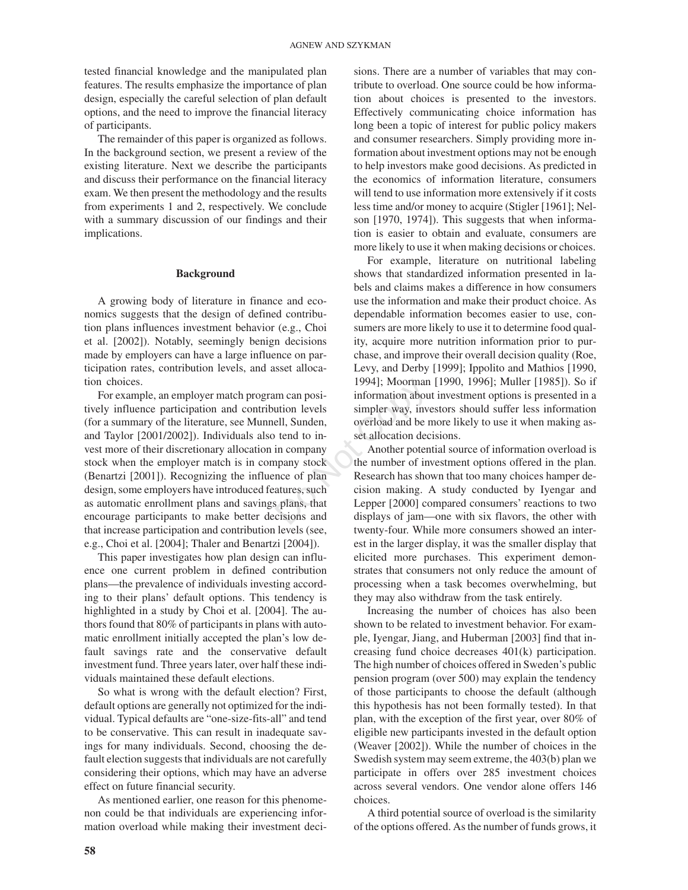tested financial knowledge and the manipulated plan features. The results emphasize the importance of plan design, especially the careful selection of plan default options, and the need to improve the financial literacy of participants.

The remainder of this paper is organized as follows. In the background section, we present a review of the existing literature. Next we describe the participants and discuss their performance on the financial literacy exam. We then present the methodology and the results from experiments 1 and 2, respectively. We conclude with a summary discussion of our findings and their implications.

# **Background**

A growing body of literature in finance and economics suggests that the design of defined contribution plans influences investment behavior (e.g., Choi et al. [2002]). Notably, seemingly benign decisions made by employers can have a large influence on participation rates, contribution levels, and asset allocation choices.

For example, an employer match program can positively influence participation and contribution levels (for a summary of the literature, see Munnell, Sunden, and Taylor [2001/2002]). Individuals also tend to invest more of their discretionary allocation in company stock when the employer match is in company stock (Benartzi [2001]). Recognizing the influence of plan design, some employers have introduced features, such as automatic enrollment plans and savings plans, that encourage participants to make better decisions and that increase participation and contribution levels (see, e.g., Choi et al. [2004]; Thaler and Benartzi [2004]). 1994]; Moorman<br>
ution levels<br>
ution levels<br>
ell, Sunden,<br>
overload and be r<br>
tend to inset allocation dec<br>
in company<br>
Another poten<br>
names are allocation dec<br>
names are allocation decay<br>
the number of in<br>
mec of plan<br>
Res

This paper investigates how plan design can influence one current problem in defined contribution plans—the prevalence of individuals investing according to their plans' default options. This tendency is highlighted in a study by Choi et al. [2004]. The authors found that 80% of participants in plans with automatic enrollment initially accepted the plan's low default savings rate and the conservative default investment fund. Three years later, over half these individuals maintained these default elections.

So what is wrong with the default election? First, default options are generally not optimized for the individual. Typical defaults are "one-size-fits-all" and tend to be conservative. This can result in inadequate savings for many individuals. Second, choosing the default election suggests that individuals are not carefully considering their options, which may have an adverse effect on future financial security.

As mentioned earlier, one reason for this phenomenon could be that individuals are experiencing information overload while making their investment decisions. There are a number of variables that may contribute to overload. One source could be how information about choices is presented to the investors. Effectively communicating choice information has long been a topic of interest for public policy makers and consumer researchers. Simply providing more information about investment options may not be enough to help investors make good decisions. As predicted in the economics of information literature, consumers will tend to use information more extensively if it costs less time and/or money to acquire (Stigler [1961]; Nelson [1970, 1974]). This suggests that when information is easier to obtain and evaluate, consumers are more likely to use it when making decisions or choices.

For example, literature on nutritional labeling shows that standardized information presented in labels and claims makes a difference in how consumers use the information and make their product choice. As dependable information becomes easier to use, consumers are more likely to use it to determine food quality, acquire more nutrition information prior to purchase, and improve their overall decision quality (Roe, Levy, and Derby [1999]; Ippolito and Mathios [1990, 1994]; Moorman [1990, 1996]; Muller [1985]). So if information about investment options is presented in a simpler way, investors should suffer less information overload and be more likely to use it when making asset allocation decisions.

Another potential source of information overload is the number of investment options offered in the plan. Research has shown that too many choices hamper decision making. A study conducted by Iyengar and Lepper [2000] compared consumers' reactions to two displays of jam—one with six flavors, the other with twenty-four. While more consumers showed an interest in the larger display, it was the smaller display that elicited more purchases. This experiment demonstrates that consumers not only reduce the amount of processing when a task becomes overwhelming, but they may also withdraw from the task entirely.

Increasing the number of choices has also been shown to be related to investment behavior. For example, Iyengar, Jiang, and Huberman [2003] find that increasing fund choice decreases 401(k) participation. The high number of choices offered in Sweden's public pension program (over 500) may explain the tendency of those participants to choose the default (although this hypothesis has not been formally tested). In that plan, with the exception of the first year, over 80% of eligible new participants invested in the default option (Weaver [2002]). While the number of choices in the Swedish system may seem extreme, the 403(b) plan we participate in offers over 285 investment choices across several vendors. One vendor alone offers 146 choices.

A third potential source of overload is the similarity of the options offered. As the number of funds grows, it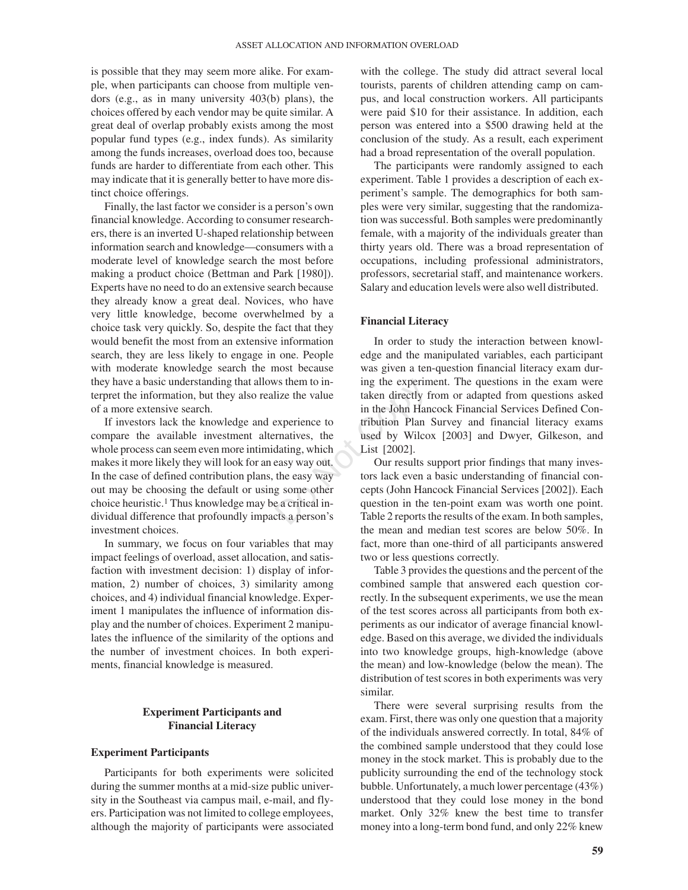is possible that they may seem more alike. For example, when participants can choose from multiple vendors (e.g., as in many university 403(b) plans), the choices offered by each vendor may be quite similar. A great deal of overlap probably exists among the most popular fund types (e.g., index funds). As similarity among the funds increases, overload does too, because funds are harder to differentiate from each other. This may indicate that it is generally better to have more distinct choice offerings.

Finally, the last factor we consider is a person's own financial knowledge. According to consumer researchers, there is an inverted U-shaped relationship between information search and knowledge—consumers with a moderate level of knowledge search the most before making a product choice (Bettman and Park [1980]). Experts have no need to do an extensive search because they already know a great deal. Novices, who have very little knowledge, become overwhelmed by a choice task very quickly. So, despite the fact that they would benefit the most from an extensive information search, they are less likely to engage in one. People with moderate knowledge search the most because they have a basic understanding that allows them to interpret the information, but they also realize the value of a more extensive search.

If investors lack the knowledge and experience to compare the available investment alternatives, the whole process can seem even more intimidating, which makes it more likely they will look for an easy way out. In the case of defined contribution plans, the easy way out may be choosing the default or using some other choice heuristic.1 Thus knowledge may be a critical individual difference that profoundly impacts a person's investment choices. ws them to in-<br>
lize the value taken directly f<br>
in the John Han<br>
experience to<br>
tribution Plan<br>
rnatives, the used by Wilco<br>
dating, which<br>
List [2002].<br>
easy way out. Our results s<br>
the easy way tors lack even a<br>
g some

In summary, we focus on four variables that may impact feelings of overload, asset allocation, and satisfaction with investment decision: 1) display of information, 2) number of choices, 3) similarity among choices, and 4) individual financial knowledge. Experiment 1 manipulates the influence of information display and the number of choices. Experiment 2 manipulates the influence of the similarity of the options and the number of investment choices. In both experiments, financial knowledge is measured.

# **Experiment Participants and Financial Literacy**

# **Experiment Participants**

Participants for both experiments were solicited during the summer months at a mid-size public university in the Southeast via campus mail, e-mail, and flyers. Participation was not limited to college employees, although the majority of participants were associated with the college. The study did attract several local tourists, parents of children attending camp on campus, and local construction workers. All participants were paid \$10 for their assistance. In addition, each person was entered into a \$500 drawing held at the conclusion of the study. As a result, each experiment had a broad representation of the overall population.

The participants were randomly assigned to each experiment. Table 1 provides a description of each experiment's sample. The demographics for both samples were very similar, suggesting that the randomization was successful. Both samples were predominantly female, with a majority of the individuals greater than thirty years old. There was a broad representation of occupations, including professional administrators, professors, secretarial staff, and maintenance workers. Salary and education levels were also well distributed.

# **Financial Literacy**

In order to study the interaction between knowledge and the manipulated variables, each participant was given a ten-question financial literacy exam during the experiment. The questions in the exam were taken directly from or adapted from questions asked in the John Hancock Financial Services Defined Contribution Plan Survey and financial literacy exams used by Wilcox [2003] and Dwyer, Gilkeson, and List [2002].

Our results support prior findings that many investors lack even a basic understanding of financial concepts (John Hancock Financial Services [2002]). Each question in the ten-point exam was worth one point. Table 2 reports the results of the exam. In both samples, the mean and median test scores are below 50%. In fact, more than one-third of all participants answered two or less questions correctly.

Table 3 provides the questions and the percent of the combined sample that answered each question correctly. In the subsequent experiments, we use the mean of the test scores across all participants from both experiments as our indicator of average financial knowledge. Based on this average, we divided the individuals into two knowledge groups, high-knowledge (above the mean) and low-knowledge (below the mean). The distribution of test scores in both experiments was very similar.

There were several surprising results from the exam. First, there was only one question that a majority of the individuals answered correctly. In total, 84% of the combined sample understood that they could lose money in the stock market. This is probably due to the publicity surrounding the end of the technology stock bubble. Unfortunately, a much lower percentage (43%) understood that they could lose money in the bond market. Only 32% knew the best time to transfer money into a long-term bond fund, and only 22% knew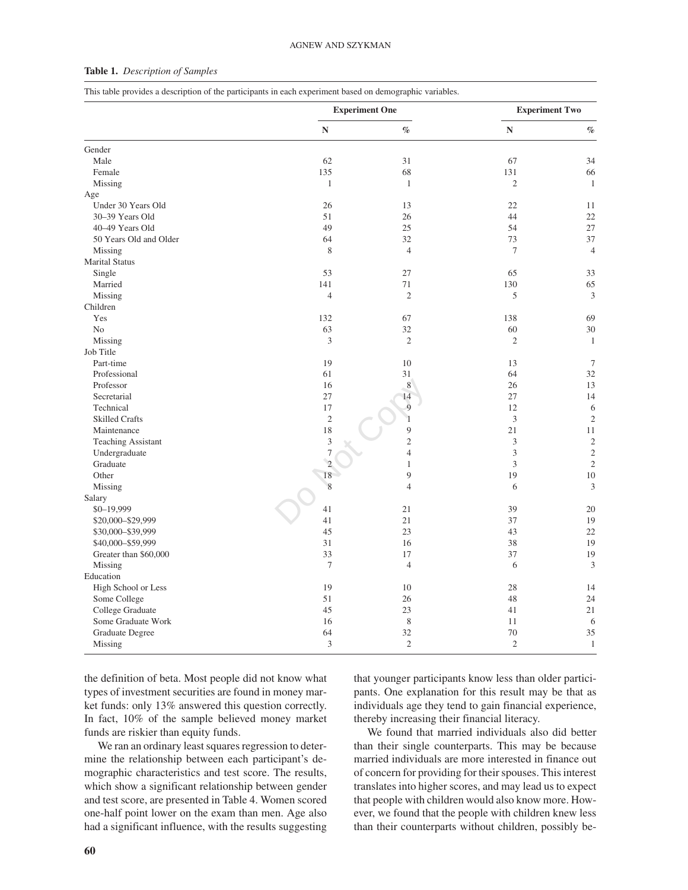## **Table 1.** *Description of Samples*

This table provides a description of the participants in each experiment based on demographic variables.

|                                  |                | <b>Experiment One</b> |                | <b>Experiment Two</b> |  |
|----------------------------------|----------------|-----------------------|----------------|-----------------------|--|
|                                  | $\mathbf N$    | $\%$                  | $\mathbf N$    | $\%$                  |  |
| Gender                           |                |                       |                |                       |  |
| Male                             | 62             | 31                    | 67             | 34                    |  |
| Female                           | 135            | 68                    | 131            | 66                    |  |
| Missing                          | $\mathbf{1}$   | $\mathbf{1}$          | $\mathfrak{2}$ | $\mathbf{1}$          |  |
| Age                              |                |                       |                |                       |  |
| Under 30 Years Old               | 26             | 13                    | 22             | 11                    |  |
| 30-39 Years Old                  | 51             | 26                    | 44             | 22                    |  |
| 40-49 Years Old                  | 49             | 25                    | 54             | 27                    |  |
| 50 Years Old and Older           | 64             | 32                    | 73             | 37                    |  |
| Missing                          | 8              | $\overline{4}$        | $\tau$         | $\overline{4}$        |  |
| <b>Marital Status</b>            |                |                       |                |                       |  |
| Single                           | 53             | 27                    | 65             | 33                    |  |
| Married                          | 141            | 71                    | 130            | 65                    |  |
| Missing                          | $\overline{4}$ | $\overline{2}$        | 5              | $\mathfrak{Z}$        |  |
| Children                         |                |                       |                |                       |  |
| Yes                              | 132            | 67                    | 138            | 69                    |  |
| N <sub>o</sub>                   | 63             | 32                    | 60             | 30                    |  |
| Missing                          | 3              | $\overline{2}$        | $\mathfrak{2}$ | $\mathbf{1}$          |  |
| Job Title                        |                |                       |                |                       |  |
| Part-time                        | 19             | 10                    | 13             | $\tau$                |  |
| Professional                     | 61             | 31                    | 64             | 32                    |  |
| Professor                        | 16             | 8                     | 26             | 13                    |  |
| Secretarial                      | 27             | 14                    | 27             | 14                    |  |
| Technical                        | 17             | 9                     | 12             | 6                     |  |
| <b>Skilled Crafts</b>            | $\mathfrak{2}$ | 1                     | 3              | $\overline{c}$        |  |
| Maintenance                      | 18             | 9                     | 21             | 11                    |  |
| <b>Teaching Assistant</b>        | $\mathfrak{Z}$ | $\overline{c}$        | 3              | $\overline{2}$        |  |
| Undergraduate                    | $\tau$         | $\overline{4}$        | 3              | $\overline{c}$        |  |
| Graduate                         | $\overline{2}$ | $\mathbf{1}$          | $\mathfrak{Z}$ | $\overline{2}$        |  |
| Other                            | 18             | 9                     | 19             | 10                    |  |
| Missing                          | 8              | $\overline{4}$        | 6              | 3                     |  |
| Salary                           |                |                       |                |                       |  |
| $$0 - 19,999$                    | 41             | 21                    | 39             | 20                    |  |
| \$20,000-\$29,999                | 41             | 21                    | 37             | 19                    |  |
| \$30,000-\$39,999                | 45             | 23                    | 43             | 22                    |  |
| \$40,000-\$59,999                | 31             | 16                    | 38             | 19<br>19              |  |
| Greater than \$60,000            | 33             | 17<br>$\overline{4}$  | 37             |                       |  |
| Missing<br>Education             | $\overline{7}$ |                       | 6              | $\mathfrak{Z}$        |  |
|                                  |                |                       |                |                       |  |
| High School or Less              | 19<br>51       | 10<br>26              | 28<br>48       | 14<br>24              |  |
| Some College<br>College Graduate | 45             | 23                    | 41             | 21                    |  |
| Some Graduate Work               | 16             | $\,$ 8 $\,$           | 11             | 6                     |  |
| <b>Graduate Degree</b>           | 64             | 32                    | 70             | 35                    |  |
| Missing                          | 3              | $\mathfrak{2}$        | $\mathbf{2}$   | $\mathbf{1}$          |  |
|                                  |                |                       |                |                       |  |

the definition of beta. Most people did not know what types of investment securities are found in money market funds: only 13% answered this question correctly. In fact, 10% of the sample believed money market funds are riskier than equity funds.

We ran an ordinary least squares regression to determine the relationship between each participant's demographic characteristics and test score. The results, which show a significant relationship between gender and test score, are presented in Table 4. Women scored one-half point lower on the exam than men. Age also had a significant influence, with the results suggesting that younger participants know less than older participants. One explanation for this result may be that as individuals age they tend to gain financial experience, thereby increasing their financial literacy.

We found that married individuals also did better than their single counterparts. This may be because married individuals are more interested in finance out of concern for providing for their spouses. This interest translates into higher scores, and may lead us to expect that people with children would also know more. However, we found that the people with children knew less than their counterparts without children, possibly be-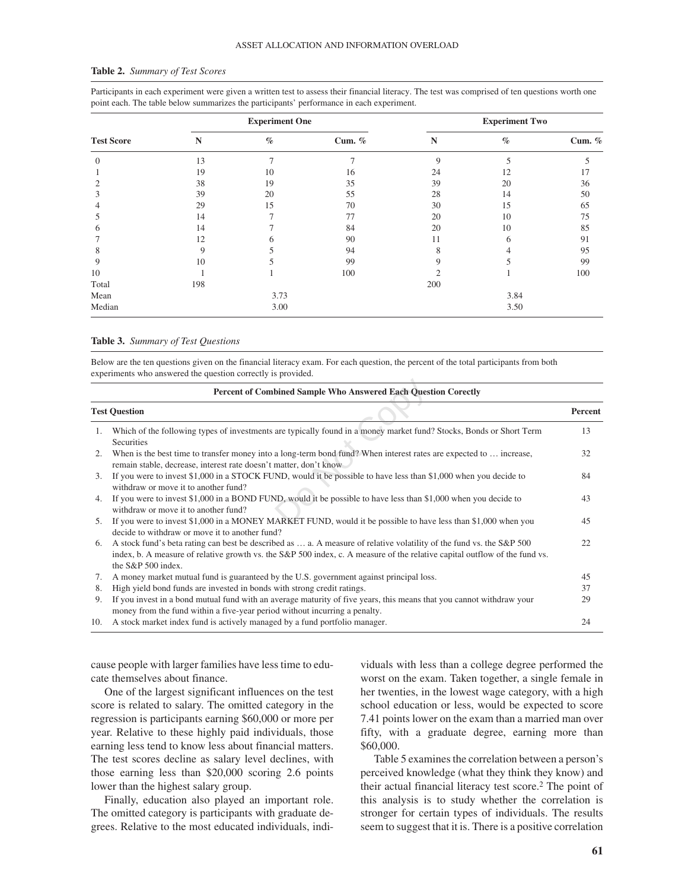#### **Table 2.** *Summary of Test Scores*

|                   |     | <b>Experiment One</b> |          |                | <b>Experiment Two</b> |        |  |
|-------------------|-----|-----------------------|----------|----------------|-----------------------|--------|--|
| <b>Test Score</b> | N   | $\%$                  | Cum. $%$ | N              | $\%$                  | Cum. % |  |
| 0                 | 13  |                       |          | 9              |                       |        |  |
|                   | 19  | 10                    | 16       | 24             | 12                    | 17     |  |
|                   | 38  | 19                    | 35       | 39             | 20                    | 36     |  |
|                   | 39  | 20                    | 55       | 28             | 14                    | 50     |  |
|                   | 29  | 15                    | 70       | 30             | 15                    | 65     |  |
|                   | 14  |                       | 77       | 20             | 10                    | 75     |  |
| <sub>(</sub>      | 14  |                       | 84       | 20             | 10                    | 85     |  |
|                   | 12  | 6                     | 90       | 11             | <sub>6</sub>          | 91     |  |
| 8                 | 9   |                       | 94       | 8              |                       | 95     |  |
| 9                 | 10  |                       | 99       | 9              |                       | 99     |  |
| 10                |     |                       | 100      | $\mathfrak{D}$ |                       | 100    |  |
| Total             | 198 |                       |          | 200            |                       |        |  |
| Mean              |     | 3.73                  |          |                | 3.84                  |        |  |
| Median            |     | 3.00                  |          |                | 3.50                  |        |  |

Participants in each experiment were given a written test to assess their financial literacy. The test was comprised of ten questions worth one point each. The table below summarizes the participants' performance in each experiment.

#### **Table 3.** *Summary of Test Questions*

Below are the ten questions given on the financial literacy exam. For each question, the percent of the total participants from both experiments who answered the question correctly is provided.

|     | Percent of Combined Sample Who Answered Each Question Corectly                                                                                                                                                                                                              |         |
|-----|-----------------------------------------------------------------------------------------------------------------------------------------------------------------------------------------------------------------------------------------------------------------------------|---------|
|     | <b>Test Question</b>                                                                                                                                                                                                                                                        | Percent |
| 1.  | Which of the following types of investments are typically found in a money market fund? Stocks, Bonds or Short Term<br><b>Securities</b>                                                                                                                                    | 13      |
| 2.  | When is the best time to transfer money into a long-term bond fund? When interest rates are expected to  increase,<br>remain stable, decrease, interest rate doesn't matter, don't know                                                                                     | 32      |
| 3.  | If you were to invest \$1,000 in a STOCK FUND, would it be possible to have less than \$1,000 when you decide to<br>withdraw or move it to another fund?                                                                                                                    | 84      |
| 4.  | If you were to invest \$1,000 in a BOND FUND, would it be possible to have less than \$1,000 when you decide to<br>withdraw or move it to another fund?                                                                                                                     | 43      |
| 5.  | If you were to invest \$1,000 in a MONEY MARKET FUND, would it be possible to have less than \$1,000 when you<br>decide to withdraw or move it to another fund?                                                                                                             | 45      |
| 6.  | A stock fund's beta rating can best be described as  a. A measure of relative volatility of the fund vs. the S&P 500<br>index, b. A measure of relative growth vs. the S&P 500 index, c. A measure of the relative capital outflow of the fund vs.<br>the $S\&P 500$ index. | 22      |
| 7.  | A money market mutual fund is guaranteed by the U.S. government against principal loss.                                                                                                                                                                                     | 45      |
| 8.  | High yield bond funds are invested in bonds with strong credit ratings.                                                                                                                                                                                                     | 37      |
| 9.  | If you invest in a bond mutual fund with an average maturity of five years, this means that you cannot withdraw your<br>money from the fund within a five-year period without incurring a penalty.                                                                          | 29      |
| 10. | A stock market index fund is actively managed by a fund portfolio manager.                                                                                                                                                                                                  | 24      |

cause people with larger families have less time to educate themselves about finance.

One of the largest significant influences on the test score is related to salary. The omitted category in the regression is participants earning \$60,000 or more per year. Relative to these highly paid individuals, those earning less tend to know less about financial matters. The test scores decline as salary level declines, with those earning less than \$20,000 scoring 2.6 points lower than the highest salary group.

Finally, education also played an important role. The omitted category is participants with graduate degrees. Relative to the most educated individuals, individuals with less than a college degree performed the worst on the exam. Taken together, a single female in her twenties, in the lowest wage category, with a high school education or less, would be expected to score 7.41 points lower on the exam than a married man over fifty, with a graduate degree, earning more than \$60,000.

Table 5 examines the correlation between a person's perceived knowledge (what they think they know) and their actual financial literacy test score.2 The point of this analysis is to study whether the correlation is stronger for certain types of individuals. The results seem to suggest that it is. There is a positive correlation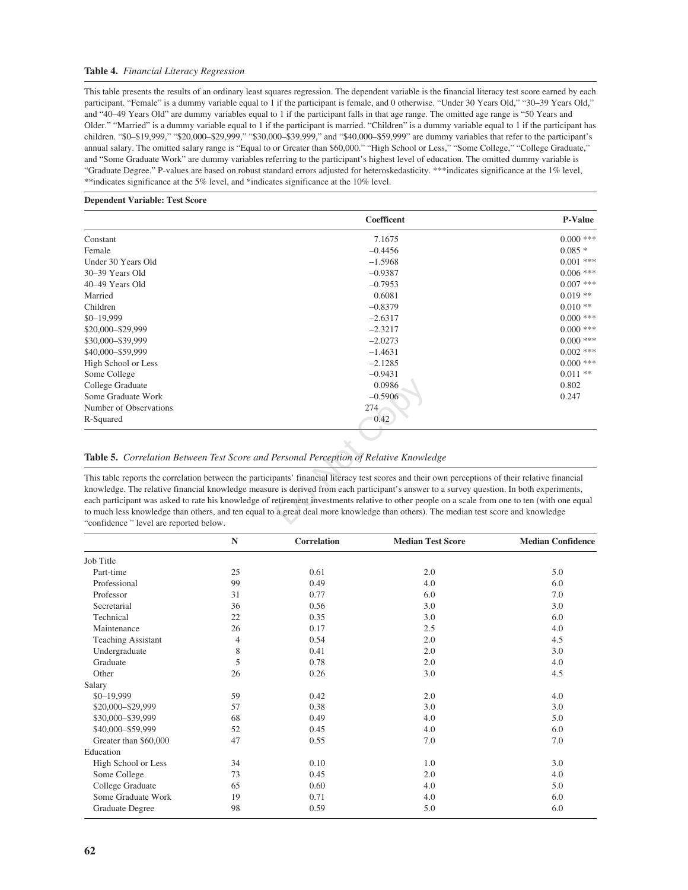## **Table 4.** *Financial Literacy Regression*

This table presents the results of an ordinary least squares regression. The dependent variable is the financial literacy test score earned by each participant. "Female" is a dummy variable equal to 1 if the participant is female, and 0 otherwise. "Under 30 Years Old," "30–39 Years Old," and "40–49 Years Old" are dummy variables equal to 1 if the participant falls in that age range. The omitted age range is "50 Years and Older." "Married" is a dummy variable equal to 1 if the participant is married. "Children" is a dummy variable equal to 1 if the participant has children. "\$0–\$19,999," "\$20,000–\$29,999," "\$30,000–\$39,999," and "\$40,000–\$59,999" are dummy variables that refer to the participant's annual salary. The omitted salary range is "Equal to or Greater than \$60,000." "High School or Less," "Some College," "College Graduate," and "Some Graduate Work" are dummy variables referring to the participant's highest level of education. The omitted dummy variable is "Graduate Degree." P-values are based on robust standard errors adjusted for heteroskedasticity. \*\*\*indicates significance at the 1% level, \*\*indicates significance at the 5% level, and \*indicates significance at the 10% level.

#### **Dependent Variable: Test Score**

|                                                                                              | Coefficent                                                                                                                                                                                                                                                                                                                                                                                                                                                                                                                                                                            | <b>P-Value</b> |
|----------------------------------------------------------------------------------------------|---------------------------------------------------------------------------------------------------------------------------------------------------------------------------------------------------------------------------------------------------------------------------------------------------------------------------------------------------------------------------------------------------------------------------------------------------------------------------------------------------------------------------------------------------------------------------------------|----------------|
| Constant                                                                                     | 7.1675                                                                                                                                                                                                                                                                                                                                                                                                                                                                                                                                                                                | $0.000$ ***    |
| Female                                                                                       | $-0.4456$                                                                                                                                                                                                                                                                                                                                                                                                                                                                                                                                                                             | $0.085*$       |
| Under 30 Years Old                                                                           | $-1.5968$                                                                                                                                                                                                                                                                                                                                                                                                                                                                                                                                                                             | $0.001$ ***    |
| 30–39 Years Old                                                                              | $-0.9387$                                                                                                                                                                                                                                                                                                                                                                                                                                                                                                                                                                             | $0.006$ ***    |
| 40-49 Years Old                                                                              | $-0.7953$                                                                                                                                                                                                                                                                                                                                                                                                                                                                                                                                                                             | $0.007$ ***    |
| Married                                                                                      | 0.6081                                                                                                                                                                                                                                                                                                                                                                                                                                                                                                                                                                                | $0.019**$      |
| Children                                                                                     | $-0.8379$                                                                                                                                                                                                                                                                                                                                                                                                                                                                                                                                                                             | $0.010**$      |
| $$0 - 19,999$                                                                                | $-2.6317$                                                                                                                                                                                                                                                                                                                                                                                                                                                                                                                                                                             | $0.000$ ***    |
| \$20,000-\$29.999                                                                            | $-2.3217$                                                                                                                                                                                                                                                                                                                                                                                                                                                                                                                                                                             | $0.000$ ***    |
| \$30,000-\$39,999                                                                            | $-2.0273$                                                                                                                                                                                                                                                                                                                                                                                                                                                                                                                                                                             | $0.000$ ***    |
| \$40,000-\$59,999                                                                            | $-1.4631$                                                                                                                                                                                                                                                                                                                                                                                                                                                                                                                                                                             | $0.002$ ***    |
| High School or Less                                                                          | $-2.1285$                                                                                                                                                                                                                                                                                                                                                                                                                                                                                                                                                                             | $0.000$ ***    |
| Some College                                                                                 | $-0.9431$                                                                                                                                                                                                                                                                                                                                                                                                                                                                                                                                                                             | $0.011**$      |
| College Graduate                                                                             | 0.0986                                                                                                                                                                                                                                                                                                                                                                                                                                                                                                                                                                                | 0.802          |
| Some Graduate Work                                                                           | $-0.5906$                                                                                                                                                                                                                                                                                                                                                                                                                                                                                                                                                                             | 0.247          |
| Number of Observations                                                                       | 274                                                                                                                                                                                                                                                                                                                                                                                                                                                                                                                                                                                   |                |
| R-Squared                                                                                    | 0.42                                                                                                                                                                                                                                                                                                                                                                                                                                                                                                                                                                                  |                |
| <b>Table 5.</b> Correlation Between Test Score and Personal Perception of Relative Knowledge |                                                                                                                                                                                                                                                                                                                                                                                                                                                                                                                                                                                       |                |
| "confidence." level are reported below                                                       | This table reports the correlation between the participants' financial literacy test scores and their own perceptions of their relative financial<br>knowledge. The relative financial knowledge measure is derived from each participant's answer to a survey question. In both experiments,<br>each participant was asked to rate his knowledge of retirement investments relative to other people on a scale from one to ten (with one equal<br>to much less knowledge than others, and ten equal to a great deal more knowledge than others). The median test score and knowledge |                |

# **Table 5.** *Correlation Between Test Score and Personal Perception of Relative Knowledge*

|                           | $\mathbb{N}$ | Correlation | <b>Median Test Score</b> | <b>Median Confidence</b> |
|---------------------------|--------------|-------------|--------------------------|--------------------------|
| Job Title                 |              |             |                          |                          |
| Part-time                 | 25           | 0.61        | 2.0                      | 5.0                      |
| Professional              | 99           | 0.49        | 4.0                      | 6.0                      |
| Professor                 | 31           | 0.77        | 6.0                      | 7.0                      |
| Secretarial               | 36           | 0.56        | 3.0                      | 3.0                      |
| Technical                 | 22           | 0.35        | 3.0                      | 6.0                      |
| Maintenance               | 26           | 0.17        | 2.5                      | 4.0                      |
| <b>Teaching Assistant</b> | 4            | 0.54        | 2.0                      | 4.5                      |
| Undergraduate             | 8            | 0.41        | 2.0                      | 3.0                      |
| Graduate                  | 5            | 0.78        | 2.0                      | 4.0                      |
| Other                     | 26           | 0.26        | 3.0                      | 4.5                      |
| Salary                    |              |             |                          |                          |
| $$0-19,999$               | 59           | 0.42        | 2.0                      | 4.0                      |
| \$20,000-\$29,999         | 57           | 0.38        | 3.0                      | 3.0                      |
| \$30,000-\$39,999         | 68           | 0.49        | 4.0                      | 5.0                      |
| \$40,000-\$59,999         | 52           | 0.45        | 4.0                      | 6.0                      |
| Greater than \$60,000     | 47           | 0.55        | 7.0                      | 7.0                      |
| Education                 |              |             |                          |                          |
| High School or Less       | 34           | 0.10        | 1.0                      | 3.0                      |
| Some College              | 73           | 0.45        | 2.0                      | 4.0                      |
| College Graduate          | 65           | 0.60        | 4.0                      | 5.0                      |
| Some Graduate Work        | 19           | 0.71        | 4.0                      | 6.0                      |
| Graduate Degree           | 98           | 0.59        | 5.0                      | 6.0                      |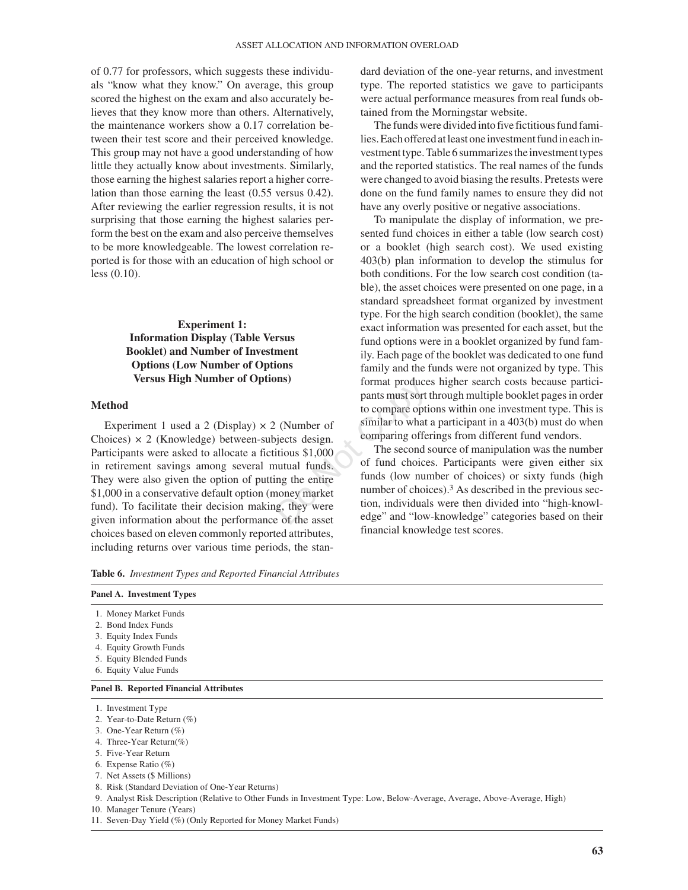of 0.77 for professors, which suggests these individuals "know what they know." On average, this group scored the highest on the exam and also accurately believes that they know more than others. Alternatively, the maintenance workers show a 0.17 correlation between their test score and their perceived knowledge. This group may not have a good understanding of how little they actually know about investments. Similarly, those earning the highest salaries report a higher correlation than those earning the least (0.55 versus 0.42). After reviewing the earlier regression results, it is not surprising that those earning the highest salaries perform the best on the exam and also perceive themselves to be more knowledgeable. The lowest correlation reported is for those with an education of high school or less (0.10).

# **Experiment 1: Information Display (Table Versus Booklet) and Number of Investment Options (Low Number of Options Versus High Number of Options)**

# **Method**

Experiment 1 used a 2 (Display)  $\times$  2 (Number of Choices)  $\times$  2 (Knowledge) between-subjects design. Participants were asked to allocate a fictitious \$1,000 in retirement savings among several mutual funds. They were also given the option of putting the entire \$1,000 in a conservative default option (money market fund). To facilitate their decision making, they were given information about the performance of the asset choices based on eleven commonly reported attributes, including returns over various time periods, the stan-Format produce<br>
pants must sort to<br>
to compare opti<br>
2 (Number of similar to what<br>
bjects design.<br>
itious \$1,000 The second s<br>
nutual funds.<br>
Integrals of fund choice<br>
ing the entire<br>
money market<br>
g, they were tion, indiv

| Table 6. Investment Types and Reported Financial Attributes |  |
|-------------------------------------------------------------|--|
|-------------------------------------------------------------|--|

dard deviation of the one-year returns, and investment type. The reported statistics we gave to participants were actual performance measures from real funds obtained from the Morningstar website.

The funds were divided into five fictitious fund families. Each offered at least one investment fund in each investment type. Table 6 summarizes the investment types and the reported statistics. The real names of the funds were changed to avoid biasing the results. Pretests were done on the fund family names to ensure they did not have any overly positive or negative associations.

To manipulate the display of information, we presented fund choices in either a table (low search cost) or a booklet (high search cost). We used existing 403(b) plan information to develop the stimulus for both conditions. For the low search cost condition (table), the asset choices were presented on one page, in a standard spreadsheet format organized by investment type. For the high search condition (booklet), the same exact information was presented for each asset, but the fund options were in a booklet organized by fund family. Each page of the booklet was dedicated to one fund family and the funds were not organized by type. This format produces higher search costs because participants must sort through multiple booklet pages in order to compare options within one investment type. This is similar to what a participant in a 403(b) must do when comparing offerings from different fund vendors.

The second source of manipulation was the number of fund choices. Participants were given either six funds (low number of choices) or sixty funds (high number of choices).<sup>3</sup> As described in the previous section, individuals were then divided into "high-knowledge" and "low-knowledge" categories based on their financial knowledge test scores.

| Panel A. Investment Types                                      |  |
|----------------------------------------------------------------|--|
| 1. Money Market Funds                                          |  |
| 2. Bond Index Funds                                            |  |
| 3. Equity Index Funds                                          |  |
| 4. Equity Growth Funds                                         |  |
| 5. Equity Blended Funds                                        |  |
| 6. Equity Value Funds                                          |  |
| <b>Panel B. Reported Financial Attributes</b>                  |  |
| 1. Investment Type                                             |  |
| 2. Year-to-Date Return $(\%)$                                  |  |
| 3. One-Year Return $(\%)$                                      |  |
| 4. Three-Year Return(%)                                        |  |
| 5. Five-Year Return                                            |  |
| 6. Expense Ratio $(\% )$                                       |  |
| 7. Net Assets (\$ Millions)                                    |  |
| $\alpha$ by $\alpha$ in the form $\alpha$ is the form $\alpha$ |  |

- 8. Risk (Standard Deviation of One-Year Returns)
- 9. Analyst Risk Description (Relative to Other Funds in Investment Type: Low, Below-Average, Average, Above-Average, High)

11. Seven-Day Yield (%) (Only Reported for Money Market Funds)

<sup>10.</sup> Manager Tenure (Years)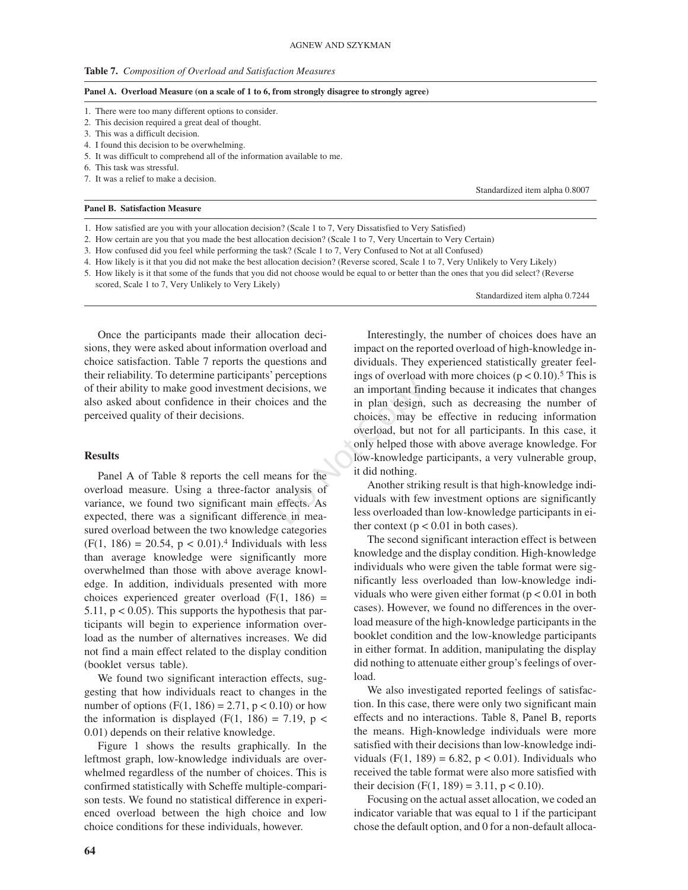#### **Table 7.** *Composition of Overload and Satisfaction Measures*

## **Panel A. Overload Measure (on a scale of 1 to 6, from strongly disagree to strongly agree)**

- 1. There were too many different options to consider.
- 2. This decision required a great deal of thought.
- 3. This was a difficult decision.
- 4. I found this decision to be overwhelming.
- 5. It was difficult to comprehend all of the information available to me.
- 6. This task was stressful.
- 7. It was a relief to make a decision.

# **Panel B. Satisfaction Measure**

- 1. How satisfied are you with your allocation decision? (Scale 1 to 7, Very Dissatisfied to Very Satisfied)
- 2. How certain are you that you made the best allocation decision? (Scale 1 to 7, Very Uncertain to Very Certain)
- 3. How confused did you feel while performing the task? (Scale 1 to 7, Very Confused to Not at all Confused)
- 4. How likely is it that you did not make the best allocation decision? (Reverse scored, Scale 1 to 7, Very Unlikely to Very Likely)
- 5. How likely is it that some of the funds that you did not choose would be equal to or better than the ones that you did select? (Reverse scored, Scale 1 to 7, Very Unlikely to Very Likely)

Standardized item alpha 0.7244

Standardized item alpha 0.8007

Once the participants made their allocation decisions, they were asked about information overload and choice satisfaction. Table 7 reports the questions and their reliability. To determine participants' perceptions of their ability to make good investment decisions, we also asked about confidence in their choices and the perceived quality of their decisions.

# **Results**

Panel A of Table 8 reports the cell means for the overload measure. Using a three-factor analysis of variance, we found two significant main effects. As expected, there was a significant difference in measured overload between the two knowledge categories  $(F(1, 186) = 20.54, p < 0.01).$ <sup>4</sup> Individuals with less than average knowledge were significantly more overwhelmed than those with above average knowledge. In addition, individuals presented with more choices experienced greater overload  $(F(1, 186))$  = 5.11,  $p < 0.05$ ). This supports the hypothesis that participants will begin to experience information overload as the number of alternatives increases. We did not find a main effect related to the display condition (booklet versus table).

We found two significant interaction effects, suggesting that how individuals react to changes in the number of options (F(1, 186) = 2.71,  $p < 0.10$ ) or how the information is displayed (F(1, 186) = 7.19,  $p \lt \theta$ 0.01) depends on their relative knowledge.

Figure 1 shows the results graphically. In the leftmost graph, low-knowledge individuals are overwhelmed regardless of the number of choices. This is confirmed statistically with Scheffe multiple-comparison tests. We found no statistical difference in experienced overload between the high choice and low choice conditions for these individuals, however.

Interestingly, the number of choices does have an impact on the reported overload of high-knowledge individuals. They experienced statistically greater feelings of overload with more choices  $(p < 0.10)$ .<sup>5</sup> This is an important finding because it indicates that changes in plan design, such as decreasing the number of choices, may be effective in reducing information overload, but not for all participants. In this case, it only helped those with above average knowledge. For low-knowledge participants, a very vulnerable group, it did nothing. Processions, we<br>
are and the in plan design,<br>
choices, may be<br>
overload, but not<br>
only helped those<br>
low-knowledge p<br>
eans for the it did nothing.<br>
analysis of the in the analysis of<br>
effects. As<br>
viduals with few<br>
less ov

Another striking result is that high-knowledge individuals with few investment options are significantly less overloaded than low-knowledge participants in either context ( $p < 0.01$  in both cases).

The second significant interaction effect is between knowledge and the display condition. High-knowledge individuals who were given the table format were significantly less overloaded than low-knowledge individuals who were given either format  $(p < 0.01$  in both cases). However, we found no differences in the overload measure of the high-knowledge participants in the booklet condition and the low-knowledge participants in either format. In addition, manipulating the display did nothing to attenuate either group's feelings of overload.

We also investigated reported feelings of satisfaction. In this case, there were only two significant main effects and no interactions. Table 8, Panel B, reports the means. High-knowledge individuals were more satisfied with their decisions than low-knowledge individuals (F(1, 189) = 6.82,  $p < 0.01$ ). Individuals who received the table format were also more satisfied with their decision  $(F(1, 189) = 3.11, p < 0.10)$ .

Focusing on the actual asset allocation, we coded an indicator variable that was equal to 1 if the participant chose the default option, and 0 for a non-default alloca-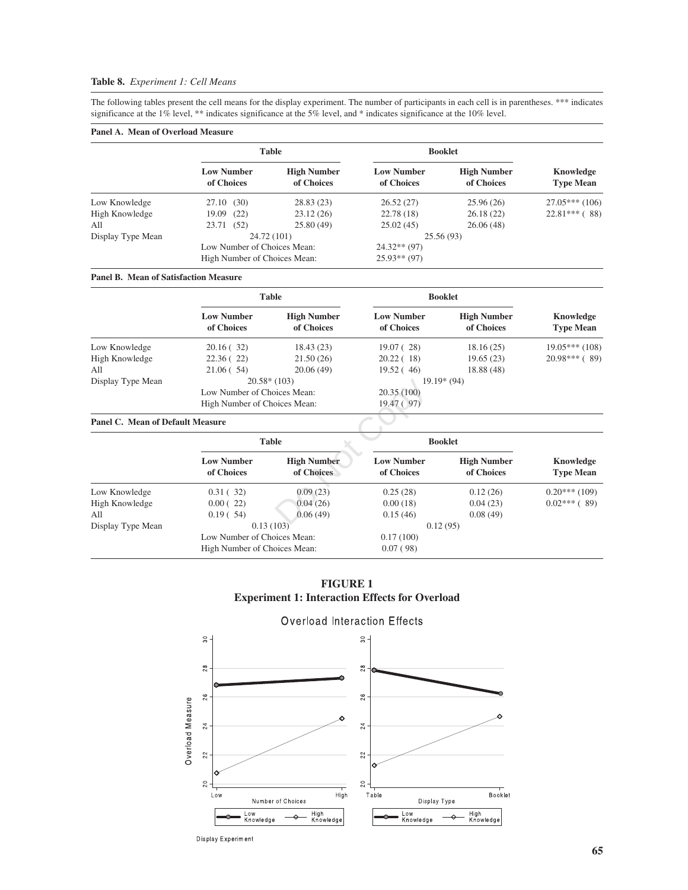# **Table 8.** *Experiment 1: Cell Means*

The following tables present the cell means for the display experiment. The number of participants in each cell is in parentheses. \*\*\* indicates significance at the 1% level, \*\* indicates significance at the 5% level, and \* indicates significance at the 10% level.

# **Panel A. Mean of Overload Measure**

|                   | <b>Table</b>                    |                                  | <b>Booklet</b>                  |                                  |                               |
|-------------------|---------------------------------|----------------------------------|---------------------------------|----------------------------------|-------------------------------|
|                   | <b>Low Number</b><br>of Choices | <b>High Number</b><br>of Choices | <b>Low Number</b><br>of Choices | <b>High Number</b><br>of Choices | Knowledge<br><b>Type Mean</b> |
| Low Knowledge     | 27.10(30)                       | 28.83(23)                        | 26.52(27)                       | 25.96(26)                        | $27.05***(106)$               |
| High Knowledge    | 19.09<br>(22)                   | 23.12(26)                        | 22.78(18)                       | 26.18(22)                        | $22.81***$ (88)               |
| All               | (52)<br>23.71                   | 25.80(49)                        | 25.02(45)                       | 26.06(48)                        |                               |
| Display Type Mean |                                 | 24.72 (101)                      |                                 | 25.56 (93)                       |                               |
|                   | Low Number of Choices Mean:     |                                  | $24.32**$ (97)                  |                                  |                               |
|                   | High Number of Choices Mean:    |                                  | $25.93**$ (97)                  |                                  |                               |

#### **Panel B. Mean of Satisfaction Measure**

|                   | <b>Table</b>                    |                                  |                                 | <b>Booklet</b>                   |                               |
|-------------------|---------------------------------|----------------------------------|---------------------------------|----------------------------------|-------------------------------|
|                   | <b>Low Number</b><br>of Choices | <b>High Number</b><br>of Choices | <b>Low Number</b><br>of Choices | <b>High Number</b><br>of Choices | Knowledge<br><b>Type Mean</b> |
| Low Knowledge     | 20.16(32)                       | 18.43 (23)                       | 19.07(28)                       | 18.16(25)                        | $19.05***(108)$               |
| High Knowledge    | 22.36(22)                       | 21.50(26)                        | 20.22(18)                       | 19.65(23)                        | $20.98***$ (89)               |
| All               | 21.06(54)                       | 20.06(49)                        | 19.52(46)                       | 18.88 (48)                       |                               |
| Display Type Mean |                                 | $20.58*(103)$                    |                                 | $19.19*(94)$                     |                               |
|                   | Low Number of Choices Mean:     |                                  | 20.35 (100)                     |                                  |                               |
|                   | High Number of Choices Mean:    |                                  | 19.47(97)                       |                                  |                               |

# **Panel C. Mean of Default Measure**

| Display Type Mean                       | $20.58*(103)$                   |                                  | $19.19*(94)$                    |                                  |                               |
|-----------------------------------------|---------------------------------|----------------------------------|---------------------------------|----------------------------------|-------------------------------|
|                                         | Low Number of Choices Mean:     |                                  | 20.35 (100)                     |                                  |                               |
|                                         | High Number of Choices Mean:    |                                  | 19.47(97)                       |                                  |                               |
| <b>Panel C. Mean of Default Measure</b> |                                 |                                  |                                 |                                  |                               |
|                                         |                                 | <b>Table</b>                     |                                 | <b>Booklet</b>                   |                               |
|                                         | <b>Low Number</b><br>of Choices | <b>High Number</b><br>of Choices | <b>Low Number</b><br>of Choices | <b>High Number</b><br>of Choices | Knowledge<br><b>Type Mean</b> |
| Low Knowledge                           | 0.31(32)                        | 0.09(23)                         | 0.25(28)                        | 0.12(26)                         | $0.20***(109)$                |
| High Knowledge                          | 0.00(22)                        | 0.04(26)                         | 0.00(18)                        | 0.04(23)                         | $0.02***$ (89)                |
| All                                     | 0.19(54)                        | 0.06(49)                         | 0.15(46)                        | 0.08(49)                         |                               |
| Display Type Mean                       |                                 | 0.13(103)                        |                                 | 0.12(95)                         |                               |
|                                         | Low Number of Choices Mean:     |                                  | 0.17(100)                       |                                  |                               |
|                                         | High Number of Choices Mean:    |                                  | 0.07(98)                        |                                  |                               |

**FIGURE 1 Experiment 1: Interaction Effects for Overload**



# **Overload Interaction Effects**

Display Experiment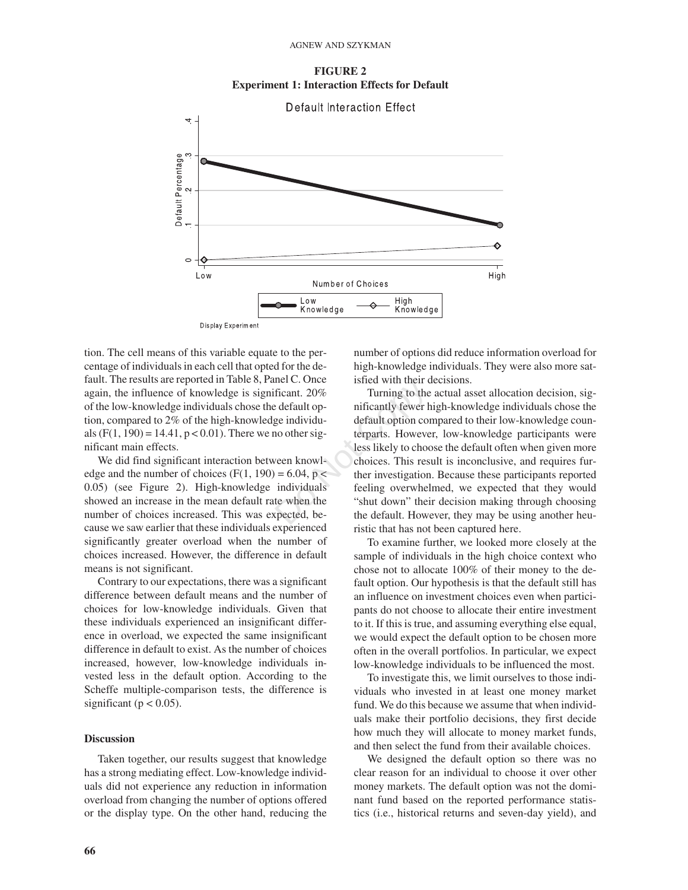**FIGURE 2 Experiment 1: Interaction Effects for Default**



tion. The cell means of this variable equate to the percentage of individuals in each cell that opted for the default. The results are reported in Table 8, Panel C. Once again, the influence of knowledge is significant. 20% of the low-knowledge individuals chose the default option, compared to 2% of the high-knowledge individuals  $(F(1, 190) = 14.41, p < 0.01)$ . There we no other significant main effects.

We did find significant interaction between knowledge and the number of choices (F(1, 190) = 6.04,  $p <$ 0.05) (see Figure 2). High-knowledge individuals showed an increase in the mean default rate when the number of choices increased. This was expected, because we saw earlier that these individuals experienced significantly greater overload when the number of choices increased. However, the difference in default means is not significant.

Contrary to our expectations, there was a significant difference between default means and the number of choices for low-knowledge individuals. Given that these individuals experienced an insignificant difference in overload, we expected the same insignificant difference in default to exist. As the number of choices increased, however, low-knowledge individuals invested less in the default option. According to the Scheffe multiple-comparison tests, the difference is significant ( $p < 0.05$ ).

# **Discussion**

Taken together, our results suggest that knowledge has a strong mediating effect. Low-knowledge individuals did not experience any reduction in information overload from changing the number of options offered or the display type. On the other hand, reducing the number of options did reduce information overload for high-knowledge individuals. They were also more satisfied with their decisions.

Turning to the actual asset allocation decision, significantly fewer high-knowledge individuals chose the default option compared to their low-knowledge counterparts. However, low-knowledge participants were less likely to choose the default often when given more choices. This result is inconclusive, and requires further investigation. Because these participants reported feeling overwhelmed, we expected that they would "shut down" their decision making through choosing the default. However, they may be using another heuristic that has not been captured here. mer C. Once<br>
Exerces the default op-<br>
Exerces the default op-<br>
Do ther signal default option concerns<br>
the default option concerns<br>
default option concerns<br>
default option concerns<br>
less likely to choor<br>
choices. This res<br>

> To examine further, we looked more closely at the sample of individuals in the high choice context who chose not to allocate 100% of their money to the default option. Our hypothesis is that the default still has an influence on investment choices even when participants do not choose to allocate their entire investment to it. If this is true, and assuming everything else equal, we would expect the default option to be chosen more often in the overall portfolios. In particular, we expect low-knowledge individuals to be influenced the most.

> To investigate this, we limit ourselves to those individuals who invested in at least one money market fund. We do this because we assume that when individuals make their portfolio decisions, they first decide how much they will allocate to money market funds, and then select the fund from their available choices.

> We designed the default option so there was no clear reason for an individual to choose it over other money markets. The default option was not the dominant fund based on the reported performance statistics (i.e., historical returns and seven-day yield), and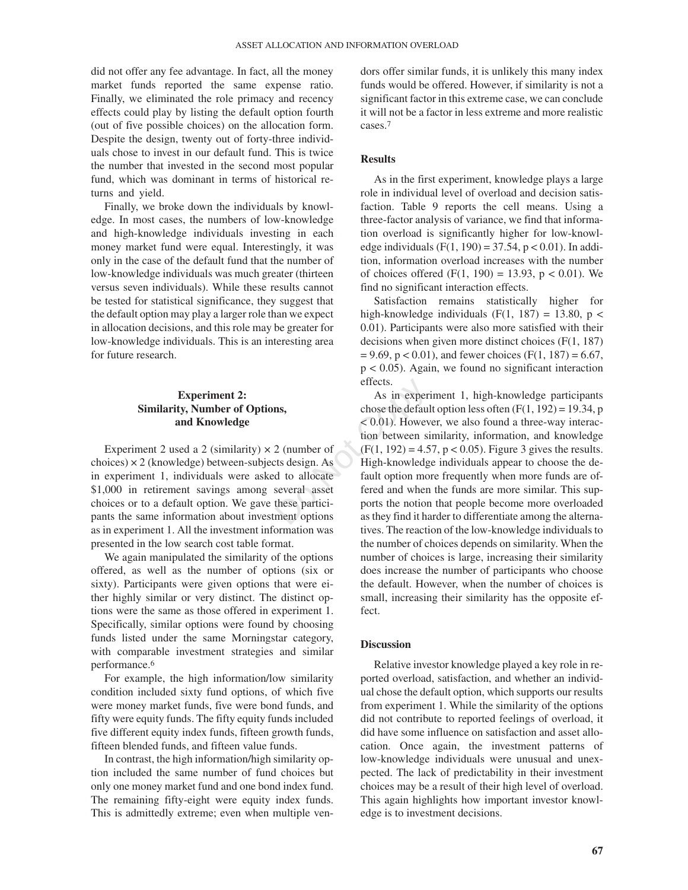did not offer any fee advantage. In fact, all the money market funds reported the same expense ratio. Finally, we eliminated the role primacy and recency effects could play by listing the default option fourth (out of five possible choices) on the allocation form. Despite the design, twenty out of forty-three individuals chose to invest in our default fund. This is twice the number that invested in the second most popular fund, which was dominant in terms of historical returns and yield.

Finally, we broke down the individuals by knowledge. In most cases, the numbers of low-knowledge and high-knowledge individuals investing in each money market fund were equal. Interestingly, it was only in the case of the default fund that the number of low-knowledge individuals was much greater (thirteen versus seven individuals). While these results cannot be tested for statistical significance, they suggest that the default option may play a larger role than we expect in allocation decisions, and this role may be greater for low-knowledge individuals. This is an interesting area for future research.

# **Experiment 2: Similarity, Number of Options, and Knowledge**

Experiment 2 used a 2 (similarity)  $\times$  2 (number of choices)  $\times$  2 (knowledge) between-subjects design. As in experiment 1, individuals were asked to allocate \$1,000 in retirement savings among several asset choices or to a default option. We gave these participants the same information about investment options as in experiment 1. All the investment information was presented in the low search cost table format.

We again manipulated the similarity of the options offered, as well as the number of options (six or sixty). Participants were given options that were either highly similar or very distinct. The distinct options were the same as those offered in experiment 1. Specifically, similar options were found by choosing funds listed under the same Morningstar category, with comparable investment strategies and similar performance.6

For example, the high information/low similarity condition included sixty fund options, of which five were money market funds, five were bond funds, and fifty were equity funds. The fifty equity funds included five different equity index funds, fifteen growth funds, fifteen blended funds, and fifteen value funds.

In contrast, the high information/high similarity option included the same number of fund choices but only one money market fund and one bond index fund. The remaining fifty-eight were equity index funds. This is admittedly extreme; even when multiple vendors offer similar funds, it is unlikely this many index funds would be offered. However, if similarity is not a significant factor in this extreme case, we can conclude it will not be a factor in less extreme and more realistic cases.7

# **Results**

As in the first experiment, knowledge plays a large role in individual level of overload and decision satisfaction. Table 9 reports the cell means. Using a three-factor analysis of variance, we find that information overload is significantly higher for low-knowledge individuals (F(1, 190) = 37.54,  $p < 0.01$ ). In addition, information overload increases with the number of choices offered  $(F(1, 190) = 13.93, p < 0.01)$ . We find no significant interaction effects.

Satisfaction remains statistically higher for high-knowledge individuals (F(1, 187) = 13.80,  $p <$ 0.01). Participants were also more satisfied with their decisions when given more distinct choices (F(1, 187)  $= 9.69$ ,  $p < 0.01$ ), and fewer choices (F(1, 187) = 6.67,  $p < 0.05$ ). Again, we found no significant interaction effects.

As in experiment 1, high-knowledge participants chose the default option less often  $(F(1, 192) = 19.34, p)$ < 0.01). However, we also found a three-way interaction between similarity, information, and knowledge  $(F(1, 192) = 4.57, p < 0.05)$ . Figure 3 gives the results. High-knowledge individuals appear to choose the default option more frequently when more funds are offered and when the funds are more similar. This supports the notion that people become more overloaded as they find it harder to differentiate among the alternatives. The reaction of the low-knowledge individuals to the number of choices depends on similarity. When the number of choices is large, increasing their similarity does increase the number of participants who choose the default. However, when the number of choices is small, increasing their similarity has the opposite effect. effects.<br>
As in experiences.<br>
As in experiences<br>
As in experiences<br>  $\leq 0.01$ ). However<br>  $\geq 2$  (number of (F(1, 192) = 4.5<br>
cts design. As High-knowledge<br>
d to allocate fault option more<br>
several asset fered and when<br>

## **Discussion**

Relative investor knowledge played a key role in reported overload, satisfaction, and whether an individual chose the default option, which supports our results from experiment 1. While the similarity of the options did not contribute to reported feelings of overload, it did have some influence on satisfaction and asset allocation. Once again, the investment patterns of low-knowledge individuals were unusual and unexpected. The lack of predictability in their investment choices may be a result of their high level of overload. This again highlights how important investor knowledge is to investment decisions.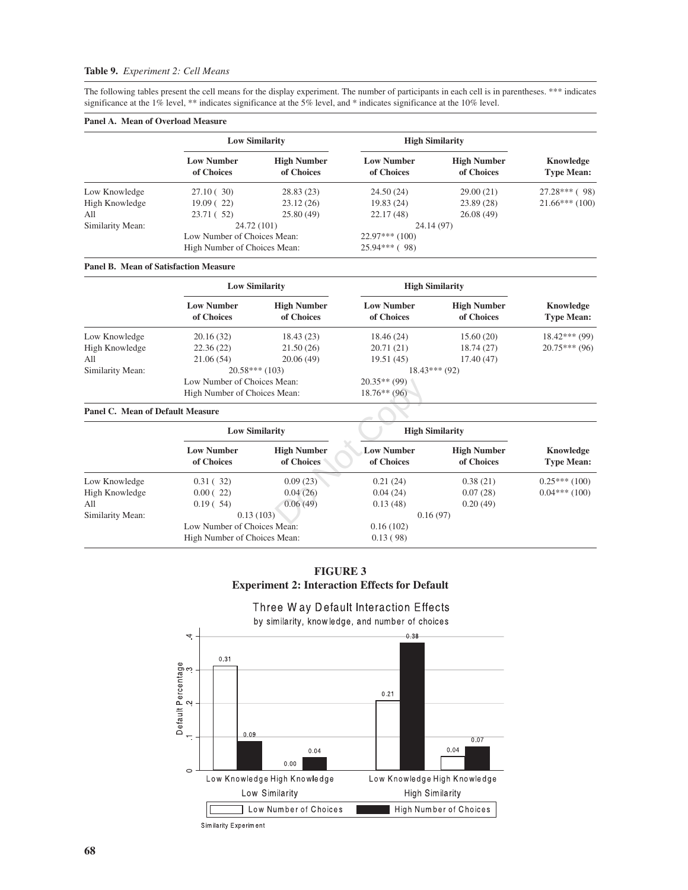### **Table 9.** *Experiment 2: Cell Means*

The following tables present the cell means for the display experiment. The number of participants in each cell is in parentheses. \*\*\* indicates significance at the 1% level, \*\* indicates significance at the 5% level, and \* indicates significance at the 10% level.

## **Panel A. Mean of Overload Measure**

|                  | <b>Low Similarity</b>           |                                  | <b>High Similarity</b>          |                                  |                                |
|------------------|---------------------------------|----------------------------------|---------------------------------|----------------------------------|--------------------------------|
|                  | <b>Low Number</b><br>of Choices | <b>High Number</b><br>of Choices | <b>Low Number</b><br>of Choices | <b>High Number</b><br>of Choices | Knowledge<br><b>Type Mean:</b> |
| Low Knowledge    | 27.10(30)                       | 28.83(23)                        | 24.50(24)                       | 29.00(21)                        | $27.28***$ (98)                |
| High Knowledge   | 19.09(22)                       | 23.12(26)                        | 19.83(24)                       | 23.89 (28)                       | $21.66***(100)$                |
| All              | 23.71 ( 52)                     | 25.80(49)                        | 22.17(48)                       | 26.08(49)                        |                                |
| Similarity Mean: |                                 | 24.72 (101)                      |                                 | 24.14 (97)                       |                                |
|                  |                                 | Low Number of Choices Mean:      |                                 |                                  |                                |
|                  | High Number of Choices Mean:    |                                  | $25.94***$ (98)                 |                                  |                                |

# **Panel B. Mean of Satisfaction Measure**

|                  | <b>Low Similarity</b>           |                                  |                                 | <b>High Similarity</b>           |                                |
|------------------|---------------------------------|----------------------------------|---------------------------------|----------------------------------|--------------------------------|
|                  | <b>Low Number</b><br>of Choices | <b>High Number</b><br>of Choices | <b>Low Number</b><br>of Choices | <b>High Number</b><br>of Choices | Knowledge<br><b>Type Mean:</b> |
| Low Knowledge    | 20.16 (32)                      | 18.43 (23)                       | 18.46 (24)                      | 15.60(20)                        | $18.42***(99)$                 |
| High Knowledge   | 22.36(22)                       | 21.50(26)                        | 20.71(21)                       | 18.74 (27)                       | $20.75***(96)$                 |
| All              | 21.06(54)                       | 20.06(49)                        | 19.51(45)                       | 17.40(47)                        |                                |
| Similarity Mean: |                                 | $20.58***(103)$                  |                                 | $18.43***(92)$                   |                                |
|                  | Low Number of Choices Mean:     |                                  | $20.35**$ (99)                  |                                  |                                |
|                  | High Number of Choices Mean:    |                                  | $18.76**$ (96)                  |                                  |                                |

#### **Panel C. Mean of Default Measure**

|                                  | Low Number of Choices Mean:<br>High Number of Choices Mean: |                                  | $20.35**$ (99)<br>$18.76**$ (96) |                                  |                                |
|----------------------------------|-------------------------------------------------------------|----------------------------------|----------------------------------|----------------------------------|--------------------------------|
| Panel C. Mean of Default Measure |                                                             |                                  |                                  |                                  |                                |
|                                  | <b>Low Similarity</b>                                       |                                  | <b>High Similarity</b>           |                                  |                                |
|                                  | <b>Low Number</b><br>of Choices                             | <b>High Number</b><br>of Choices | <b>Low Number</b><br>of Choices  | <b>High Number</b><br>of Choices | Knowledge<br><b>Type Mean:</b> |
| Low Knowledge                    | 0.31(32)                                                    | 0.09(23)                         | 0.21(24)                         | 0.38(21)                         | $0.25***(100)$                 |
| High Knowledge                   | 0.00(22)                                                    | 0.04(26)                         | 0.04(24)                         | 0.07(28)                         | $0.04***(100)$                 |
| All                              | 0.19(54)                                                    | 0.06(49)                         | 0.13(48)                         | 0.20(49)                         |                                |
| Similarity Mean:                 | 0.13(103)                                                   |                                  | 0.16(97)                         |                                  |                                |
|                                  | Low Number of Choices Mean:                                 |                                  | 0.16(102)                        |                                  |                                |
|                                  | High Number of Choices Mean:                                |                                  | 0.13(98)                         |                                  |                                |

# **FIGURE 3 Experiment 2: Interaction Effects for Default**



#### Similarity Experiment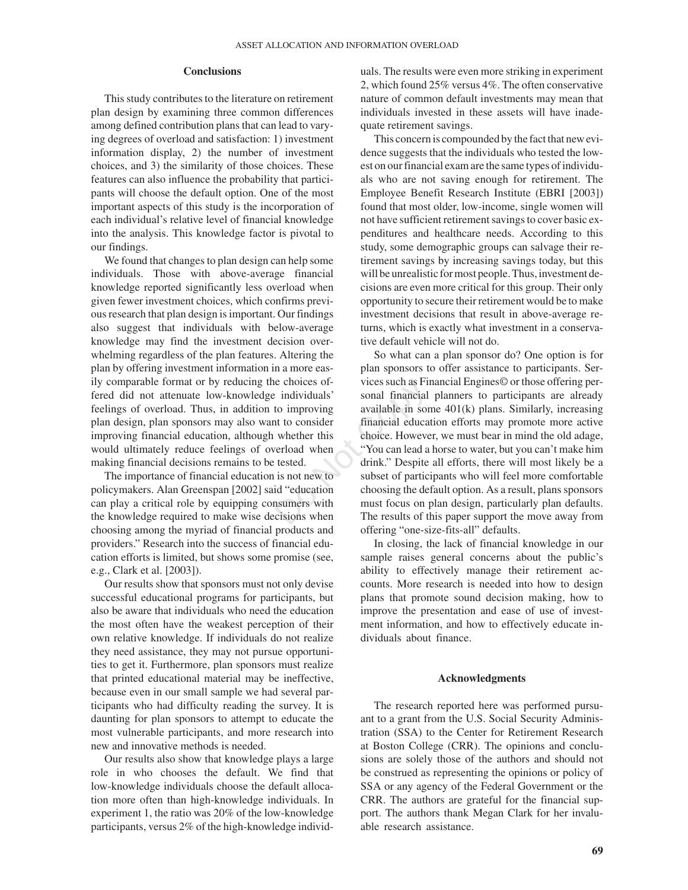# **Conclusions**

This study contributes to the literature on retirement plan design by examining three common differences among defined contribution plans that can lead to varying degrees of overload and satisfaction: 1) investment information display, 2) the number of investment choices, and 3) the similarity of those choices. These features can also influence the probability that participants will choose the default option. One of the most important aspects of this study is the incorporation of each individual's relative level of financial knowledge into the analysis. This knowledge factor is pivotal to our findings.

We found that changes to plan design can help some individuals. Those with above-average financial knowledge reported significantly less overload when given fewer investment choices, which confirms previous research that plan design is important. Our findings also suggest that individuals with below-average knowledge may find the investment decision overwhelming regardless of the plan features. Altering the plan by offering investment information in a more easily comparable format or by reducing the choices offered did not attenuate low-knowledge individuals' feelings of overload. Thus, in addition to improving plan design, plan sponsors may also want to consider improving financial education, although whether this would ultimately reduce feelings of overload when making financial decisions remains to be tested.

The importance of financial education is not new to policymakers. Alan Greenspan [2002] said "education can play a critical role by equipping consumers with the knowledge required to make wise decisions when choosing among the myriad of financial products and providers." Research into the success of financial education efforts is limited, but shows some promise (see, e.g., Clark et al. [2003]).

Our results show that sponsors must not only devise successful educational programs for participants, but also be aware that individuals who need the education the most often have the weakest perception of their own relative knowledge. If individuals do not realize they need assistance, they may not pursue opportunities to get it. Furthermore, plan sponsors must realize that printed educational material may be ineffective, because even in our small sample we had several participants who had difficulty reading the survey. It is daunting for plan sponsors to attempt to educate the most vulnerable participants, and more research into new and innovative methods is needed.

Our results also show that knowledge plays a large role in who chooses the default. We find that low-knowledge individuals choose the default allocation more often than high-knowledge individuals. In experiment 1, the ratio was 20% of the low-knowledge participants, versus 2% of the high-knowledge individuals. The results were even more striking in experiment 2, which found 25% versus 4%. The often conservative nature of common default investments may mean that individuals invested in these assets will have inadequate retirement savings.

This concern is compounded by the fact that new evidence suggests that the individuals who tested the lowest on our financial exam are the same types of individuals who are not saving enough for retirement. The Employee Benefit Research Institute (EBRI [2003]) found that most older, low-income, single women will not have sufficient retirement savings to cover basic expenditures and healthcare needs. According to this study, some demographic groups can salvage their retirement savings by increasing savings today, but this will be unrealistic for most people. Thus, investment decisions are even more critical for this group. Their only opportunity to secure their retirement would be to make investment decisions that result in above-average returns, which is exactly what investment in a conservative default vehicle will not do.

So what can a plan sponsor do? One option is for plan sponsors to offer assistance to participants. Services such as Financial Engines© or those offering personal financial planners to participants are already available in some 401(k) plans. Similarly, increasing financial education efforts may promote more active choice. However, we must bear in mind the old adage, "You can lead a horse to water, but you can't make him drink." Despite all efforts, there will most likely be a subset of participants who will feel more comfortable choosing the default option. As a result, plans sponsors must focus on plan design, particularly plan defaults. The results of this paper support the move away from offering "one-size-fits-all" defaults. e choices of<br>
be choices of<br>
comproving<br>
to improving<br>
to improving<br>
to to consider<br>
to consider<br>
to consider<br>
financial educa<br>
whether this<br>
choice. Howeve<br>
erload when<br>
"You can lead a<br>
tested.<br>
In the Wou can lead a<br>
dr

> In closing, the lack of financial knowledge in our sample raises general concerns about the public's ability to effectively manage their retirement accounts. More research is needed into how to design plans that promote sound decision making, how to improve the presentation and ease of use of investment information, and how to effectively educate individuals about finance.

## **Acknowledgments**

The research reported here was performed pursuant to a grant from the U.S. Social Security Administration (SSA) to the Center for Retirement Research at Boston College (CRR). The opinions and conclusions are solely those of the authors and should not be construed as representing the opinions or policy of SSA or any agency of the Federal Government or the CRR. The authors are grateful for the financial support. The authors thank Megan Clark for her invaluable research assistance.